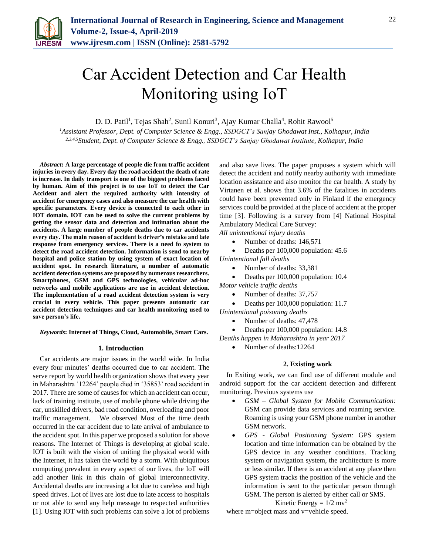

# Car Accident Detection and Car Health Monitoring using IoT

D. D. Patil<sup>1</sup>, Tejas Shah<sup>2</sup>, Sunil Konuri<sup>3</sup>, Ajay Kumar Challa<sup>4</sup>, Rohit Rawool<sup>5</sup>

*<sup>1</sup>Assistant Professor, Dept. of Computer Science & Engg., SSDGCT's Sanjay Ghodawat Inst., Kolhapur, India 2,3,4,5Student, Dept. of Computer Science & Engg., SSDGCT's Sanjay Ghodawat Institute, Kolhapur, India*

*Abstract***: A large percentage of people die from traffic accident injuries in every day. Every day the road accident the death of rate is increase. In daily transport is one of the biggest problems faced by human. Aim of this project is to use IoT to detect the Car Accident and alert the required authority with intensity of accident for emergency cases and also measure the car health with specific parameters. Every device is connected to each other in IOT domain. IOT can be used to solve the current problems by getting the sensor data and detection and intimation about the accidents. A large number of people deaths due to car accidents every day. The main reason of accident is driver's mistake and late response from emergency services. There is a need fo system to detect the road accident detection. Information is send to nearby hospital and police station by using system of exact location of accident spot. In research literature, a number of automatic accident detection systems are proposed by numerous researchers. Smartphones, GSM and GPS technologies, vehicular ad-hoc networks and mobile applications are use in accident detection. The implementation of a road accident detection system is very crucial in every vehicle. This paper presents automatic car accident detection techniques and car health monitoring used to save person's life.** 

*Keywords***: Internet of Things, Cloud, Automobile, Smart Cars.**

## **1. Introduction**

Car accidents are major issues in the world wide. In India every four minutes' deaths occurred due to car accident. The serve report by world health organization shows that every year in Maharashtra '12264' people died in '35853' road accident in 2017. There are some of causes for which an accident can occur, lack of training institute, use of mobile phone while driving the car, unskilled drivers, bad road condition, overloading and poor traffic management. We observed Most of the time death occurred in the car accident due to late arrival of ambulance to the accident spot. In this paper we proposed a solution for above reasons. The Internet of Things is developing at global scale. IOT is built with the vision of uniting the physical world with the Internet, it has taken the world by a storm. With ubiquitous computing prevalent in every aspect of our lives, the IoT will add another link in this chain of global interconnectivity. Accidental deaths are increasing a lot due to careless and high speed drives. Lot of lives are lost due to late access to hospitals or not able to send any help message to respected authorities [1]. Using IOT with such problems can solve a lot of problems and also save lives. The paper proposes a system which will detect the accident and notify nearby authority with immediate location assistance and also monitor the car health. A study by Virtanen et al. shows that 3.6% of the fatalities in accidents could have been prevented only in Finland if the emergency services could be provided at the place of accident at the proper time [3]. Following is a survey from [4] National Hospital Ambulatory Medical Care Survey:

*All unintentional injury deaths*

Number of deaths: 146,571

Deaths per 100,000 population: 45.6

*Unintentional fall deaths*

- Number of deaths: 33,381
- Deaths per 100,000 population: 10.4
- *Motor vehicle traffic deaths*
	- Number of deaths: 37,757
	- Deaths per 100,000 population: 11.7
- *Unintentional poisoning deaths*
	- Number of deaths: 47,478

 Deaths per 100,000 population: 14.8 *Deaths happen in Maharashtra in year 2017*

Number of deaths:12264

# **2. Existing work**

In Exiting work, we can find use of different module and android support for the car accident detection and different monitoring. Previous systems use

- *GSM – Global System for Mobile Communication:* GSM can provide data services and roaming service. Roaming is using your GSM phone number in another GSM network.
- *GPS - Global Positioning System:* GPS system location and time information can be obtained by the GPS device in any weather conditions. Tracking system or navigation system, the architecture is more or less similar. If there is an accident at any place then GPS system tracks the position of the vehicle and the information is sent to the particular person through GSM. The person is alerted by either call or SMS.

Kinetic Energy =  $1/2$  mv<sup>2</sup>

where m=object mass and v=vehicle speed.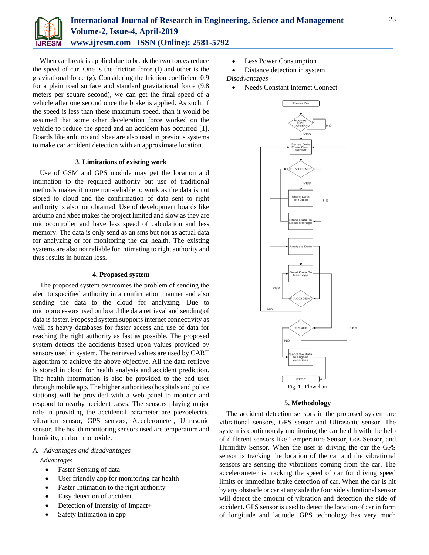

When car break is applied due to break the two forces reduce the speed of car. One is the friction force (f) and other is the gravitational force (g). Considering the friction coefficient 0.9 for a plain road surface and standard gravitational force (9.8 meters per square second), we can get the final speed of a vehicle after one second once the brake is applied. As such, if the speed is less than these maximum speed, than it would be assumed that some other deceleration force worked on the vehicle to reduce the speed and an accident has occurred [1]. Boards like arduino and xbee are also used in previous systems to make car accident detection with an approximate location.

# **3. Limitations of existing work**

Use of GSM and GPS module may get the location and intimation to the required authority but use of traditional methods makes it more non-reliable to work as the data is not stored to cloud and the confirmation of data sent to right authority is also not obtained. Use of development boards like arduino and xbee makes the project limited and slow as they are microcontroller and have less speed of calculation and less memory. The data is only send as an sms but not as actual data for analyzing or for monitoring the car health. The existing systems are also not reliable for intimating to right authority and thus results in human loss.

#### **4. Proposed system**

The proposed system overcomes the problem of sending the alert to specified authority in a confirmation manner and also sending the data to the cloud for analyzing. Due to microprocessors used on board the data retrieval and sending of data is faster. Proposed system supports internet connectivity as well as heavy databases for faster access and use of data for reaching the right authority as fast as possible. The proposed system detects the accidents based upon values provided by sensors used in system. The retrieved values are used by CART algorithm to achieve the above objective. All the data retrieve is stored in cloud for health analysis and accident prediction. The health information is also be provided to the end user through mobile app. The higher authorities (hospitals and police stations) will be provided with a web panel to monitor and respond to nearby accident cases. The sensors playing major role in providing the accidental parameter are piezoelectric vibration sensor, GPS sensors, Accelerometer, Ultrasonic sensor. The health monitoring sensors used are temperature and humidity, carbon monoxide.

# *A. Advantages and disadvantages*

*Advantages*

- Faster Sensing of data
- User friendly app for monitoring car health
- Faster Intimation to the right authority
- Easy detection of accident
- Detection of Intensity of Impact+
- Safety Intimation in app
- Less Power Consumption
- Distance detection in system
	- *Disadvantages*
	- Needs Constant Internet Connect



#### **5. Methodology**

The accident detection sensors in the proposed system are vibrational sensors, GPS sensor and Ultrasonic sensor. The system is continuously monitoring the car health with the help of different sensors like Temperature Sensor, Gas Sensor, and Humidity Sensor. When the user is driving the car the GPS sensor is tracking the location of the car and the vibrational sensors are sensing the vibrations coming from the car. The accelerometer is tracking the speed of car for driving speed limits or immediate brake detection of car. When the car is hit by any obstacle or car at any side the four side vibrational sensor will detect the amount of vibration and detection the side of accident. GPS sensor is used to detect the location of car in form of longitude and latitude. GPS technology has very much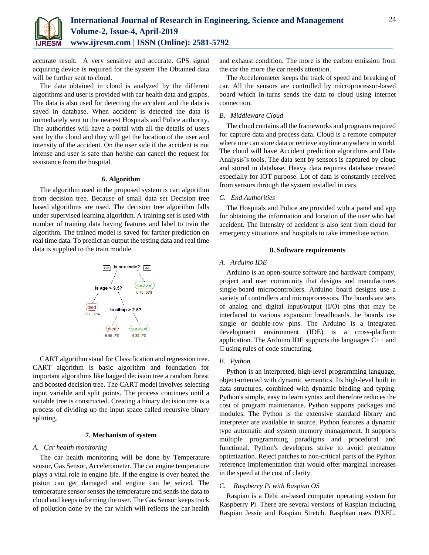

accurate result. A very sensitive and accurate. GPS signal acquiring device is required for the system The Obtained data will be further sent to cloud.

The data obtained in cloud is analyzed by the different algorithms and user is provided with car health data and graphs. The data is also used for detecting the accident and the data is saved in database. When accident is detected the data is immediately sent to the nearest Hospitals and Police authority. The authorities will have a portal with all the details of users sent by the cloud and they will get the location of the user and intensity of the accident. On the user side if the accident is not intense and user is safe than he/she can cancel the request for assistance from the hospital.

#### **6. Algorithm**

The algorithm used in the proposed system is cart algorithm from decision tree. Because of small data set Decision tree based algorithms are used. The decision tree algorithm falls under supervised learning algorithm. A training set is used with number of training data having features and label to train the algorithm. The trained model is saved for farther prediction on real time data. To predict an output the testing data and real time data is supplied to the train module.



CART algorithm stand for Classification and regression tree. CART algorithm is basic algorithm and foundation for important algorithms like bagged decision tree a random forest and boosted decision tree. The CART model involves selecting input variable and split points. The process continues until a suitable tree is constructed. Creating a binary decision tree is a process of dividing up the input space called recursive binary splitting.

#### **7. Mechanism of system**

#### *A. Car health monitoring*

The car health monitoring will be done by Temperature sensor, Gas Sensor, Accelerometer. The car engine temperature plays a vital role in engine life. If the engine is over heated the piston can get damaged and engine can be seized. The temperature sensor senses the temperature and sends the data to cloud and keeps informing the user. The Gas Sensor keeps track of pollution done by the car which will reflects the car health

and exhaust condition. The more is the carbon emission from the car the more the car needs attention.

The Accelerometer keeps the track of speed and breaking of car. All the sensors are controlled by microprocessor-based board which in-turns sends the data to cloud using internet connection.

## *B. Middleware Cloud*

The cloud contains all the frameworks and programs required for capture data and process data. Cloud is a remote computer where one can store data or retrieve anytime anywhere in world. The cloud will have Accident prediction algorithms and Data Analysis's tools. The data sent by sensors is captured by cloud and stored in database. Heavy data requires database created especially for IOT purpose. Lot of data is constantly received from sensors through the system installed in cars.

#### *C. End Authorities*

The Hospitals and Police are provided with a panel and app for obtaining the information and location of the user who had accident. The Intensity of accident is also sent from cloud for emergency situations and hospitals to take immediate action.

#### **8. Software requirements**

#### *A. Arduino IDE*

Arduino is an open-source software and hardware company, project and user community that designs and manufactures single-board microcontrollers. Arduino board designs use a variety of controllers and microprocessors. The boards are sets of analog and digital input/output (I/O) pins that may be interfaced to various expansion breadboards. he boards use single or double-row pins. The Arduino is a integrated development environment (IDE) is a cross-platform application. The Arduino IDE supports the languages  $C_{++}$  and C using rules of code structuring.

#### *B. Python*

Python is an interpreted, high-level programming language, object-oriented with dynamic semantics. Its high-level built in data structures, combined with dynamic binding and typing. Python's simple, easy to learn syntax and therefore reduces the cost of program maintenance. Python supports packages and modules. The Python is the extensive standard library and interpreter are available in source. Python features a dynamic type automatic and system memory management. It supports multiple programming paradigms and procedural and functional. Python's developers strive to avoid premature optimization. Reject patches to non-critical parts of the Python reference implementation that would offer marginal increases in the speed at the cost of clarity.

#### *C. Raspberry Pi with Raspian OS*

Raspian is a Debi an-based computer operating system for Raspberry Pi. There are several versions of Raspian including Raspian Jessie and Raspian Stretch. Raspbian uses PIXEL,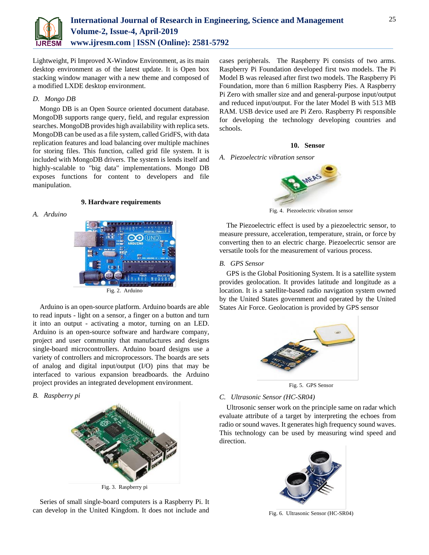

Lightweight, Pi Improved X-Window Environment, as its main desktop environment as of the latest update. It is Open box stacking window manager with a new theme and composed of a modified LXDE desktop environment.

# *D. Mongo DB*

Mongo DB is an Open Source oriented document database. MongoDB supports range query, field, and regular expression searches. MongoDB provides high availability with replica sets. MongoDB can be used as a file system, called GridFS, with data replication features and load balancing over multiple machines for storing files. This function, called grid file system. It is included with MongoDB drivers. The system is lends itself and highly-scalable to "big data" implementations. Mongo DB exposes functions for content to developers and file manipulation.

# **9. Hardware requirements**

# *A. Arduino*



Arduino is an open-source platform. Arduino boards are able to read inputs - light on a sensor, a finger on a button and turn it into an output - activating a motor, turning on an LED. Arduino is an open-source software and hardware company, project and user community that manufactures and designs single-board microcontrollers. Arduino board designs use a variety of controllers and microprocessors. The boards are sets of analog and digital input/output (I/O) pins that may be interfaced to various expansion breadboards. the Arduino project provides an integrated development environment.

#### *B. Raspberry pi*



Series of small single-board computers is a Raspberry Pi. It can develop in the United Kingdom. It does not include and

cases peripherals. The Raspberry Pi consists of two arms. Raspberry Pi Foundation developed first two models. The Pi Model B was released after first two models. The Raspberry Pi Foundation, more than 6 million Raspberry Pies. A Raspberry Pi Zero with smaller size and and general-purpose input/output and reduced input/output. For the later Model B with 513 MB RAM. USB device used are Pi Zero. Raspberry Pi responsible for developing the technology developing countries and schools.

#### **10. Sensor**

## *A. Piezoelectric vibration sensor*



Fig. 4. Piezoelectric vibration sensor

The Piezoelectric effect is used by a piezoelectric sensor, to measure pressure, acceleration, temperature, strain, or force by converting then to an electric charge. Piezoelecrtic sensor are versatile tools for the measurement of various process.

## *B. GPS Sensor*

GPS is the Global Positioning System. It is a satellite system provides geolocation. It provides latitude and longitude as a location. It is a satellite-based radio navigation system owned by the United States government and operated by the United States Air Force. Geolocation is provided by GPS sensor



Fig. 5. GPS Sensor

# *C. Ultrasonic Sensor (HC-SR04)*

Ultrosonic senser work on the principle same on radar which evaluate attribute of a target by interpreting the echoes from radio or sound waves. It generates high frequency sound waves. This technology can be used by measuring wind speed and direction.



Fig. 6. Ultrasonic Sensor (HC-SR04)